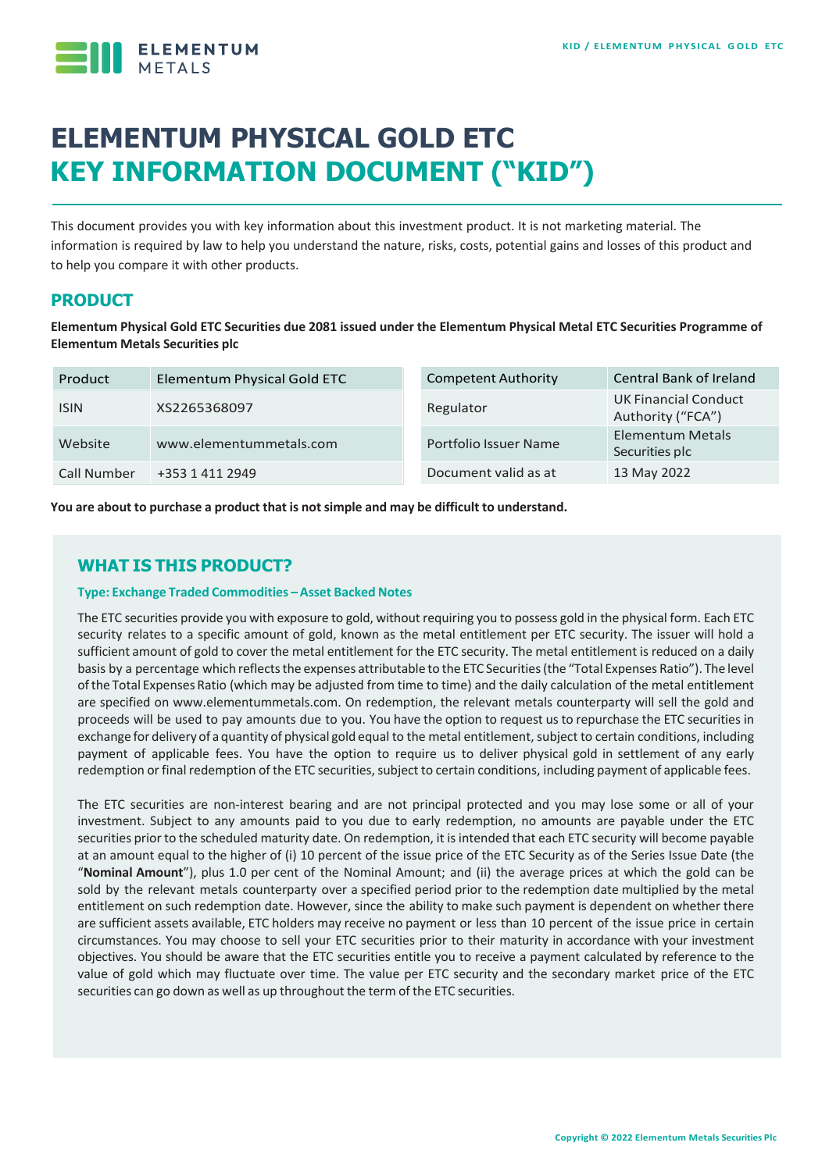

# **ELEMENTUM PHYSICAL GOLD ETC KEY INFORMATION DOCUMENT ("KID")**

This document provides you with key information about this investment product. It is not marketing material. The information is required by law to help you understand the nature, risks, costs, potential gains and losses of this product and to help you compare it with other products.

# **PRODUCT**

**Elementum Physical Gold ETC Securities due 2081 issued under the Elementum Physical Metal ETC Securities Programme of Elementum Metals Securities plc**

| Product     | Elementum Physical Gold ETC | <b>Competent Authority</b> | <b>Central Bank of Ireland</b>                   |
|-------------|-----------------------------|----------------------------|--------------------------------------------------|
| <b>ISIN</b> | XS2265368097                | Regulator                  | <b>UK Financial Conduct</b><br>Authority ("FCA") |
| Website     | www.elementummetals.com     | Portfolio Issuer Name      | Elementum Metals<br>Securities plc               |
| Call Number | +353 1 411 2949             | Document valid as at       | 13 May 2022                                      |

**You are about to purchase a product that is notsimple and may be difficult to understand.**

# **WHAT IS THIS PRODUCT?**

#### **Type: Exchange Traded Commodities –Asset Backed Notes**

The ETC securities provide you with exposure to gold, without requiring you to possess gold in the physical form. Each ETC security relates to a specific amount of gold, known as the metal entitlement per ETC security. The issuer will hold a sufficient amount of gold to cover the metal entitlement for the ETC security. The metal entitlement is reduced on a daily basis by a percentage which reflects the expenses attributable to the ETC Securities (the "Total Expenses Ratio"). The level ofthe Total Expenses Ratio (which may be adjusted from time to time) and the daily calculation of the metal entitlement are specified on www.elementummetals.com. On redemption, the relevant metals counterparty will sell the gold and proceeds will be used to pay amounts due to you. You have the option to request us to repurchase the ETC securities in exchange for delivery of a quantity of physical gold equal to the metal entitlement, subject to certain conditions, including payment of applicable fees. You have the option to require us to deliver physical gold in settlement of any early redemption or final redemption of the ETC securities, subject to certain conditions, including payment of applicable fees.

The ETC securities are non-interest bearing and are not principal protected and you may lose some or all of your investment. Subject to any amounts paid to you due to early redemption, no amounts are payable under the ETC securities prior to the scheduled maturity date. On redemption, it is intended that each ETC security will become payable at an amount equal to the higher of (i) 10 percent of the issue price of the ETC Security as of the Series Issue Date (the "**Nominal Amount**"), plus 1.0 per cent of the Nominal Amount; and (ii) the average prices at which the gold can be sold by the relevant metals counterparty over a specified period prior to the redemption date multiplied by the metal entitlement on such redemption date. However, since the ability to make such payment is dependent on whether there are sufficient assets available, ETC holders may receive no payment or less than 10 percent of the issue price in certain circumstances. You may choose to sell your ETC securities prior to their maturity in accordance with your investment objectives. You should be aware that the ETC securities entitle you to receive a payment calculated by reference to the value of gold which may fluctuate over time. The value per ETC security and the secondary market price of the ETC securities can go down as well as up throughout the term of the ETC securities.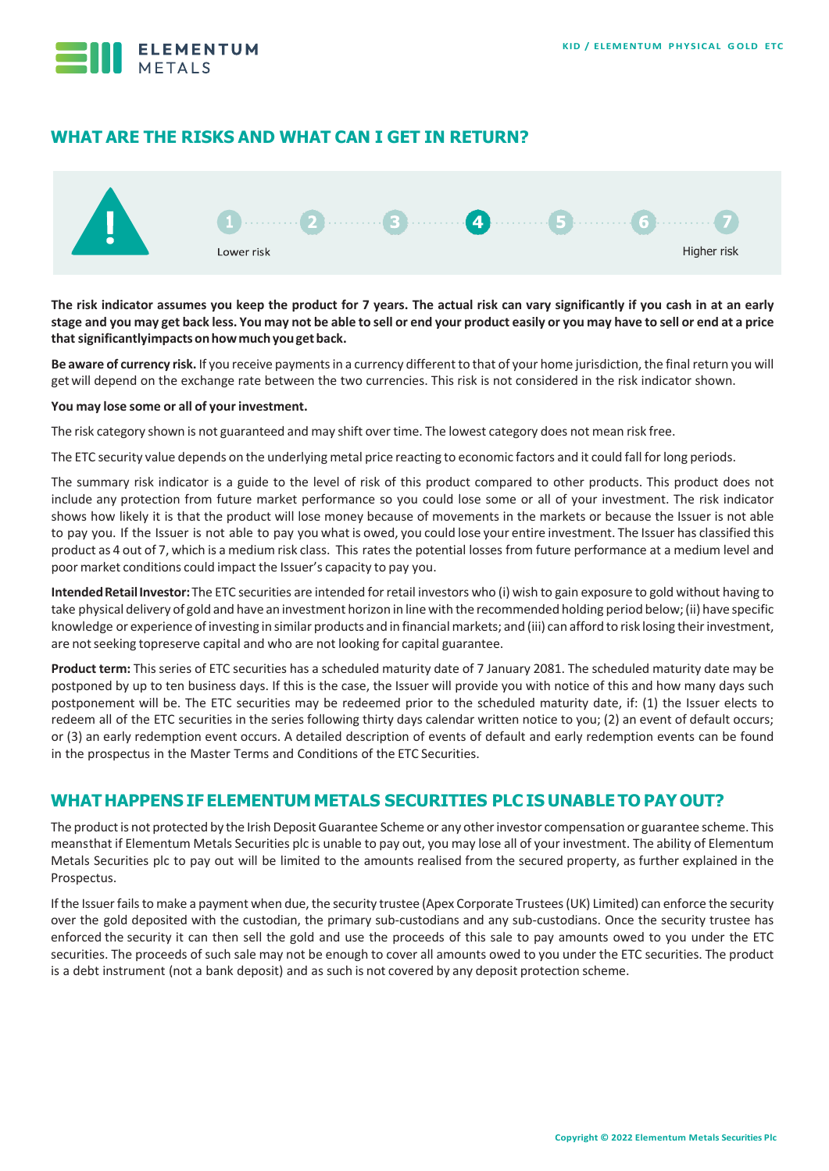

# **WHAT ARE THE RISKS AND WHAT CAN I GET IN RETURN?**



**The risk indicator assumes you keep the product for 7 years. The actual risk can vary significantly if you cash in at an early**  stage and you may get back less. You may not be able to sell or end your product easily or you may have to sell or end at a price **thatsignificantlyimpactsonhowmuchyougetback.**

Be aware of currency risk. If you receive payments in a currency different to that of your home jurisdiction, the final return you will getwill depend on the exchange rate between the two currencies. This risk is not considered in the risk indicator shown.

#### **You may lose some or all of your investment.**

The risk category shown is not guaranteed and may shift over time. The lowest category does not mean risk free.

The ETC security value depends on the underlying metal price reacting to economic factors and it could fall forlong periods.

The summary risk indicator is a guide to the level of risk of this product compared to other products. This product does not include any protection from future market performance so you could lose some or all of your investment. The risk indicator shows how likely it is that the product will lose money because of movements in the markets or because the Issuer is not able to pay you. If the Issuer is not able to pay you what is owed, you could lose your entire investment. The Issuer has classified this product as 4 out of 7, which is a medium risk class. This rates the potential losses from future performance at a medium level and poor market conditions could impact the Issuer's capacity to pay you.

**IntendedRetailInvestor:**The ETC securities are intended forretail investors who (i) wish to gain exposure to gold without having to take physical delivery of gold and have an investment horizon in line with the recommended holding period below;(ii) have specific knowledge or experience of investing in similar products and in financial markets; and (iii) can afford to risk losing their investment, are notseeking topreserve capital and who are not looking for capital guarantee.

**Product term:** This series of ETC securities has a scheduled maturity date of 7 January 2081. The scheduled maturity date may be postponed by up to ten business days. If this is the case, the Issuer will provide you with notice of this and how many days such postponement will be. The ETC securities may be redeemed prior to the scheduled maturity date, if: (1) the Issuer elects to redeem all of the ETC securities in the series following thirty days calendar written notice to you; (2) an event of default occurs; or (3) an early redemption event occurs. A detailed description of events of default and early redemption events can be found in the prospectus in the Master Terms and Conditions of the ETC Securities.

# **WHAT HAPPENS IF ELEMENTUM METALS SECURITIES PLC IS UNABLE TO PAYOUT?**

The product is not protected by the Irish Deposit Guarantee Scheme or any other investor compensation or guarantee scheme. This meansthat if Elementum Metals Securities plc is unable to pay out, you may lose all of your investment. The ability of Elementum Metals Securities plc to pay out will be limited to the amounts realised from the secured property, as further explained in the Prospectus.

If the Issuer fails to make a payment when due, the security trustee (Apex Corporate Trustees (UK) Limited) can enforce the security over the gold deposited with the custodian, the primary sub-custodians and any sub-custodians. Once the security trustee has enforced the security it can then sell the gold and use the proceeds of this sale to pay amounts owed to you under the ETC securities. The proceeds of such sale may not be enough to cover all amounts owed to you under the ETC securities. The product is a debt instrument (not a bank deposit) and as such is not covered by any deposit protection scheme.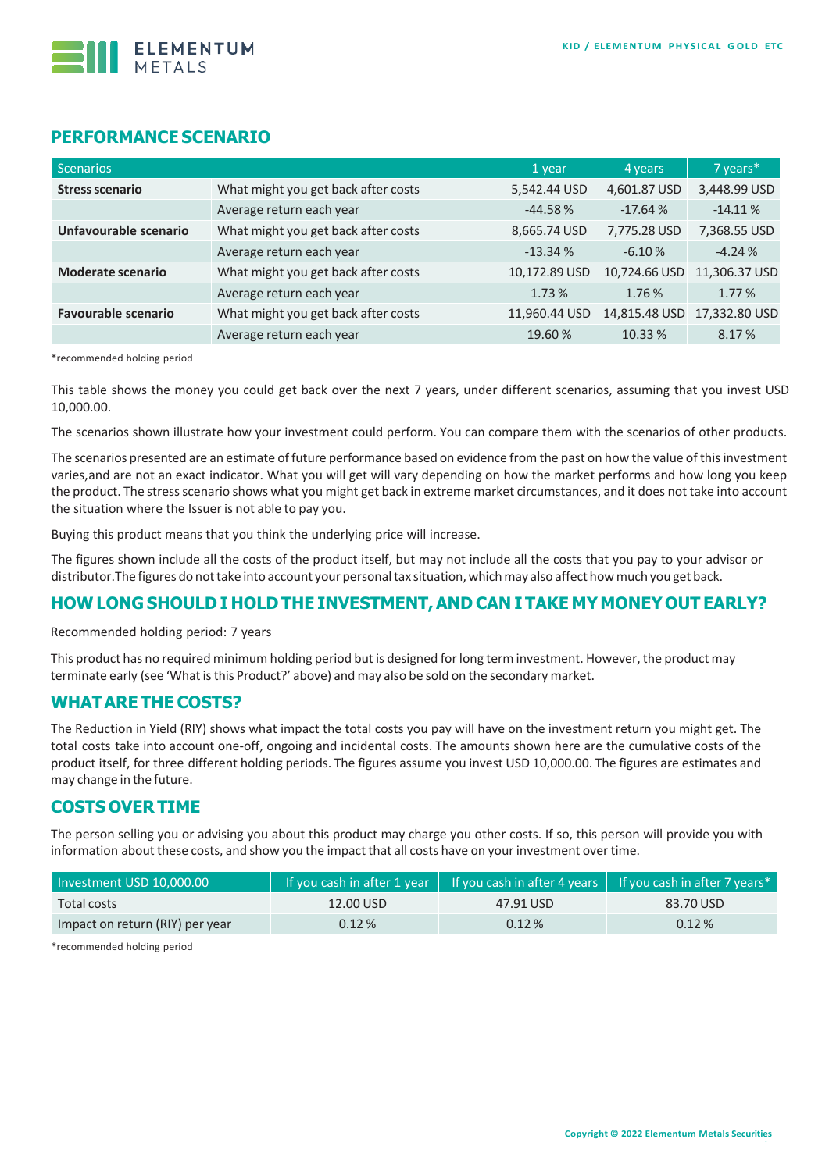

## **PERFORMANCE SCENARIO**

| Scenarios                                                       |                                     | 1 year        | 4 years       | 7 years*      |
|-----------------------------------------------------------------|-------------------------------------|---------------|---------------|---------------|
| <b>Stress scenario</b>                                          | What might you get back after costs | 5,542.44 USD  | 4,601.87 USD  | 3,448.99 USD  |
|                                                                 | Average return each year            | $-44.58%$     | $-17.64%$     | $-14.11%$     |
| Unfavourable scenario                                           | What might you get back after costs | 8,665.74 USD  | 7,775.28 USD  | 7,368.55 USD  |
|                                                                 | Average return each year            | $-13.34%$     | $-6.10%$      | $-4.24%$      |
| What might you get back after costs<br><b>Moderate scenario</b> |                                     | 10,172.89 USD | 10,724.66 USD | 11,306.37 USD |
|                                                                 | Average return each year            | 1.73%         | 1.76%         | 1.77 %        |
| <b>Favourable scenario</b>                                      | What might you get back after costs | 11,960.44 USD | 14,815.48 USD | 17,332.80 USD |
|                                                                 | Average return each year            | 19.60%        | 10.33 %       | 8.17%         |

\*recommended holding period

This table shows the money you could get back over the next 7 years, under different scenarios, assuming that you invest USD 10,000.00.

The scenarios shown illustrate how your investment could perform. You can compare them with the scenarios of other products.

The scenarios presented are an estimate of future performance based on evidence from the past on how the value of this investment varies,and are not an exact indicator. What you will get will vary depending on how the market performs and how long you keep the product. The stressscenario shows what you might get back in extreme market circumstances, and it does not take into account the situation where the Issuer is not able to pay you.

Buying this product means that you think the underlying price will increase.

The figures shown include all the costs of the product itself, but may not include all the costs that you pay to your advisor or distributor.The figures do nottake into account your personaltax situation, whichmay also affect howmuch you get back.

## **HOW LONG SHOULD I HOLD THE INVESTMENT,AND CAN I TAKE MY MONEY OUT EARLY?**

Recommended holding period: 7 years

This product has no required minimum holding period but is designed forlong term investment. However, the product may terminate early (see 'What is this Product?' above) and may also be sold on the secondary market.

#### **WHATARE THE COSTS?**

The Reduction in Yield (RIY) shows what impact the total costs you pay will have on the investment return you might get. The total costs take into account one-off, ongoing and incidental costs. The amounts shown here are the cumulative costs of the product itself, for three different holding periods. The figures assume you invest USD 10,000.00. The figures are estimates and may change in the future.

## **COSTS OVER TIME**

The person selling you or advising you about this product may charge you other costs. If so, this person will provide you with information about these costs, and show you the impact that all costs have on your investment over time.

| Investment USD 10,000.00        |           |           | If you cash in after 1 year $\parallel$ If you cash in after 4 years $\parallel$ If you cash in after 7 years* |  |
|---------------------------------|-----------|-----------|----------------------------------------------------------------------------------------------------------------|--|
| Total costs                     | 12.00 USD | 47.91 USD | 83.70 USD                                                                                                      |  |
| Impact on return (RIY) per year | 0.12%     | $0.12\%$  | $0.12\%$                                                                                                       |  |

\*recommended holding period